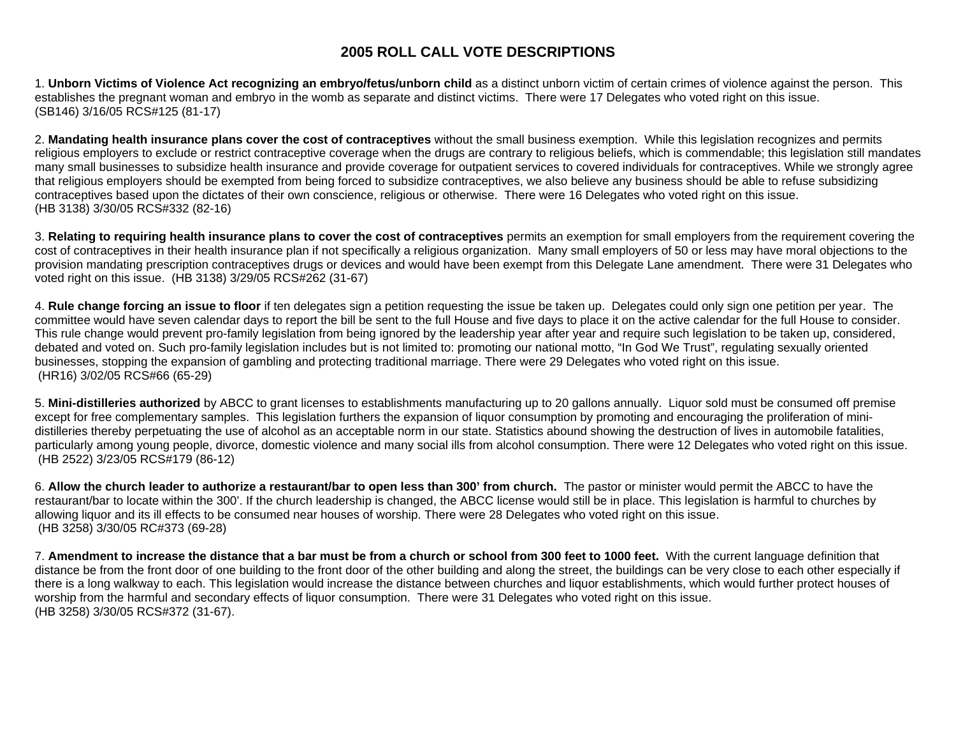## **2005 ROLL CALL VOTE DESCRIPTIONS**

1. **Unborn Victims of Violence Act recognizing an embryo/fetus/unborn child** as a distinct unborn victim of certain crimes of violence against the person. This establishes the pregnant woman and embryo in the womb as separate and distinct victims. There were 17 Delegates who voted right on this issue. (SB146) 3/16/05 RCS#125 (81-17)

2. **Mandating health insurance plans cover the cost of contraceptives** without the small business exemption. While this legislation recognizes and permits religious employers to exclude or restrict contraceptive coverage when the drugs are contrary to religious beliefs, which is commendable; this legislation still mandates many small businesses to subsidize health insurance and provide coverage for outpatient services to covered individuals for contraceptives. While we strongly agree that religious employers should be exempted from being forced to subsidize contraceptives, we also believe any business should be able to refuse subsidizing contraceptives based upon the dictates of their own conscience, religious or otherwise. There were 16 Delegates who voted right on this issue. (HB 3138) 3/30/05 RCS#332 (82-16)

3. **Relating to requiring health insurance plans to cover the cost of contraceptives** permits an exemption for small employers from the requirement covering the cost of contraceptives in their health insurance plan if not specifically a religious organization. Many small employers of 50 or less may have moral objections to the provision mandating prescription contraceptives drugs or devices and would have been exempt from this Delegate Lane amendment. There were 31 Delegates who voted right on this issue. (HB 3138) 3/29/05 RCS#262 (31-67)

4. **Rule change forcing an issue to floor** if ten delegates sign a petition requesting the issue be taken up. Delegates could only sign one petition per year. The committee would have seven calendar days to report the bill be sent to the full House and five days to place it on the active calendar for the full House to consider. This rule change would prevent pro-family legislation from being ignored by the leadership year after year and require such legislation to be taken up, considered, debated and voted on. Such pro-family legislation includes but is not limited to: promoting our national motto, "In God We Trust", regulating sexually oriented businesses, stopping the expansion of gambling and protecting traditional marriage. There were 29 Delegates who voted right on this issue. (HR16) 3/02/05 RCS#66 (65-29)

5. **Mini-distilleries authorized** by ABCC to grant licenses to establishments manufacturing up to 20 gallons annually. Liquor sold must be consumed off premise except for free complementary samples. This legislation furthers the expansion of liquor consumption by promoting and encouraging the proliferation of minidistilleries thereby perpetuating the use of alcohol as an acceptable norm in our state. Statistics abound showing the destruction of lives in automobile fatalities, particularly among young people, divorce, domestic violence and many social ills from alcohol consumption. There were 12 Delegates who voted right on this issue. (HB 2522) 3/23/05 RCS#179 (86-12)

6. **Allow the church leader to authorize a restaurant/bar to open less than 300' from church.** The pastor or minister would permit the ABCC to have the restaurant/bar to locate within the 300'. If the church leadership is changed, the ABCC license would still be in place. This legislation is harmful to churches by allowing liquor and its ill effects to be consumed near houses of worship. There were 28 Delegates who voted right on this issue. (HB 3258) 3/30/05 RC#373 (69-28)

7. **Amendment to increase the distance that a bar must be from a church or school from 300 feet to 1000 feet.** With the current language definition that distance be from the front door of one building to the front door of the other building and along the street, the buildings can be very close to each other especially if there is a long walkway to each. This legislation would increase the distance between churches and liquor establishments, which would further protect houses of worship from the harmful and secondary effects of liquor consumption. There were 31 Delegates who voted right on this issue. (HB 3258) 3/30/05 RCS#372 (31-67).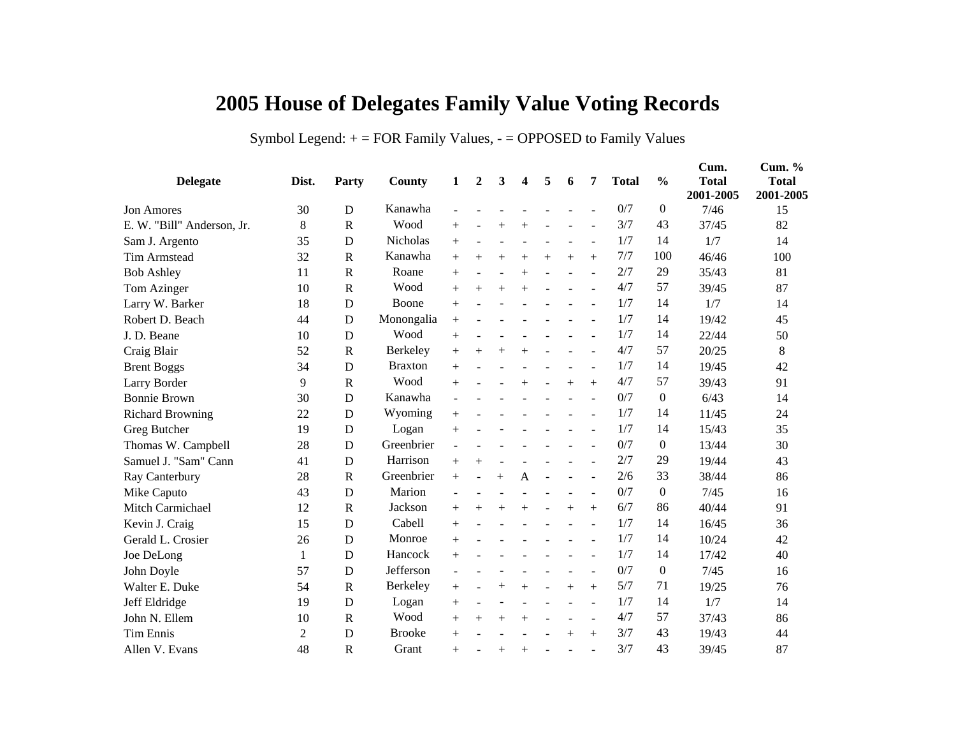## **2005 House of Delegates Family Value Voting Records**

## Symbol Legend:  $+$  = FOR Family Values,  $-$  = OPPOSED to Family Values

| <b>Delegate</b>            | Dist.          | Party        | County         | 1              | $\mathbf{2}$ | 3      | 4              | 5   | 6      | 7              | <b>Total</b> | $\frac{0}{0}$    | Cum.<br><b>Total</b><br>2001-2005 | Cum. %<br><b>Total</b><br>2001-2005 |
|----------------------------|----------------|--------------|----------------|----------------|--------------|--------|----------------|-----|--------|----------------|--------------|------------------|-----------------------------------|-------------------------------------|
| Jon Amores                 | 30             | D            | Kanawha        |                |              |        |                |     |        |                | 0/7          | $\mathbf{0}$     | 7/46                              | 15                                  |
| E. W. "Bill" Anderson, Jr. | 8              | $\mathbf R$  | Wood           | $+$            |              |        | $^{+}$         |     |        |                | 3/7          | 43               | 37/45                             | 82                                  |
| Sam J. Argento             | 35             | $\mathbf D$  | Nicholas       | $+$            |              |        |                |     |        | $\overline{a}$ | 1/7          | 14               | 1/7                               | 14                                  |
| <b>Tim Armstead</b>        | 32             | $\mathbf R$  | Kanawha        | $+$            | $+$          | $^{+}$ | $^{+}$         | $+$ | $^{+}$ | $^{+}$         | 7/7          | 100              | 46/46                             | 100                                 |
| <b>Bob Ashley</b>          | 11             | $\mathbf R$  | Roane          | $+$            |              |        | $^{+}$         |     |        |                | 2/7          | 29               | 35/43                             | 81                                  |
| Tom Azinger                | 10             | $\mathbf R$  | Wood           | $^{+}$         | $+$          | $^{+}$ | $^{+}$         |     |        |                | 4/7          | 57               | 39/45                             | 87                                  |
| Larry W. Barker            | 18             | D            | Boone          | $+$            |              |        |                |     |        |                | 1/7          | 14               | 1/7                               | 14                                  |
| Robert D. Beach            | 44             | D            | Monongalia     | $+$            |              |        |                |     |        |                | 1/7          | 14               | 19/42                             | 45                                  |
| J. D. Beane                | 10             | $\mathbf D$  | Wood           | $+$            |              |        |                |     |        |                | 1/7          | 14               | 22/44                             | 50                                  |
| Craig Blair                | 52             | $\mathbf R$  | Berkeley       | $+$            | $^{+}$       | $^{+}$ | $^{+}$         |     |        |                | 4/7          | 57               | 20/25                             | 8                                   |
| <b>Brent Boggs</b>         | 34             | D            | <b>Braxton</b> | $+$            |              |        |                |     |        |                | 1/7          | 14               | 19/45                             | 42                                  |
| Larry Border               | 9              | $\mathbf R$  | Wood           | $^{+}$         |              |        | $^{+}$         |     | $^{+}$ | $^{+}$         | 4/7          | 57               | 39/43                             | 91                                  |
| <b>Bonnie Brown</b>        | 30             | $\mathbf D$  | Kanawha        |                |              |        |                |     |        |                | 0/7          | $\mathbf{0}$     | 6/43                              | 14                                  |
| <b>Richard Browning</b>    | 22             | D            | Wyoming        | $+$            |              |        |                |     |        |                | 1/7          | 14               | 11/45                             | 24                                  |
| Greg Butcher               | 19             | D            | Logan          | $+$            |              |        |                |     |        |                | 1/7          | 14               | 15/43                             | 35                                  |
| Thomas W. Campbell         | 28             | D            | Greenbrier     |                |              |        |                |     |        |                | 0/7          | $\boldsymbol{0}$ | 13/44                             | 30                                  |
| Samuel J. "Sam" Cann       | 41             | D            | Harrison       | $^{+}$         | $^{+}$       |        |                |     |        |                | 2/7          | 29               | 19/44                             | 43                                  |
| Ray Canterbury             | 28             | $\mathbf R$  | Greenbrier     | $+$            |              | $^{+}$ | $\overline{A}$ |     |        |                | 2/6          | 33               | 38/44                             | 86                                  |
| Mike Caputo                | 43             | D            | Marion         |                |              |        |                |     |        |                | 0/7          | $\boldsymbol{0}$ | 7/45                              | 16                                  |
| Mitch Carmichael           | 12             | $\mathbf R$  | Jackson        | $^{+}$         | $^{+}$       | $^{+}$ | $^{+}$         |     | $^{+}$ | $^{+}$         | 6/7          | 86               | 40/44                             | 91                                  |
| Kevin J. Craig             | 15             | D            | Cabell         | $+$            |              |        |                |     |        |                | 1/7          | 14               | 16/45                             | 36                                  |
| Gerald L. Crosier          | 26             | D            | Monroe         | $^{+}$         |              |        |                |     |        |                | 1/7          | 14               | 10/24                             | 42                                  |
| Joe DeLong                 | 1              | D            | Hancock        | $+$            |              |        |                |     |        |                | 1/7          | 14               | 17/42                             | 40                                  |
| John Doyle                 | 57             | D            | Jefferson      | $\blacksquare$ |              |        |                |     |        |                | 0/7          | $\boldsymbol{0}$ | 7/45                              | 16                                  |
| Walter E. Duke             | 54             | $\mathbb{R}$ | Berkeley       | $+$            |              | $^{+}$ | $^{+}$         |     | $^{+}$ | $^{+}$         | 5/7          | 71               | 19/25                             | 76                                  |
| Jeff Eldridge              | 19             | D            | Logan          | $^{+}$         |              |        |                |     |        |                | 1/7          | 14               | 1/7                               | 14                                  |
| John N. Ellem              | 10             | $\mathbb{R}$ | Wood           | $+$            | $+$          | $+$    | $+$            |     |        | $\overline{a}$ | 4/7          | 57               | 37/43                             | 86                                  |
| <b>Tim Ennis</b>           | $\overline{2}$ | D            | <b>Brooke</b>  | $+$            |              |        |                |     | $^{+}$ | $^{+}$         | 3/7          | 43               | 19/43                             | 44                                  |
| Allen V. Evans             | 48             | $\mathsf{R}$ | Grant          | $^{+}$         |              | $+$    | $+$            |     |        |                | 3/7          | 43               | 39/45                             | 87                                  |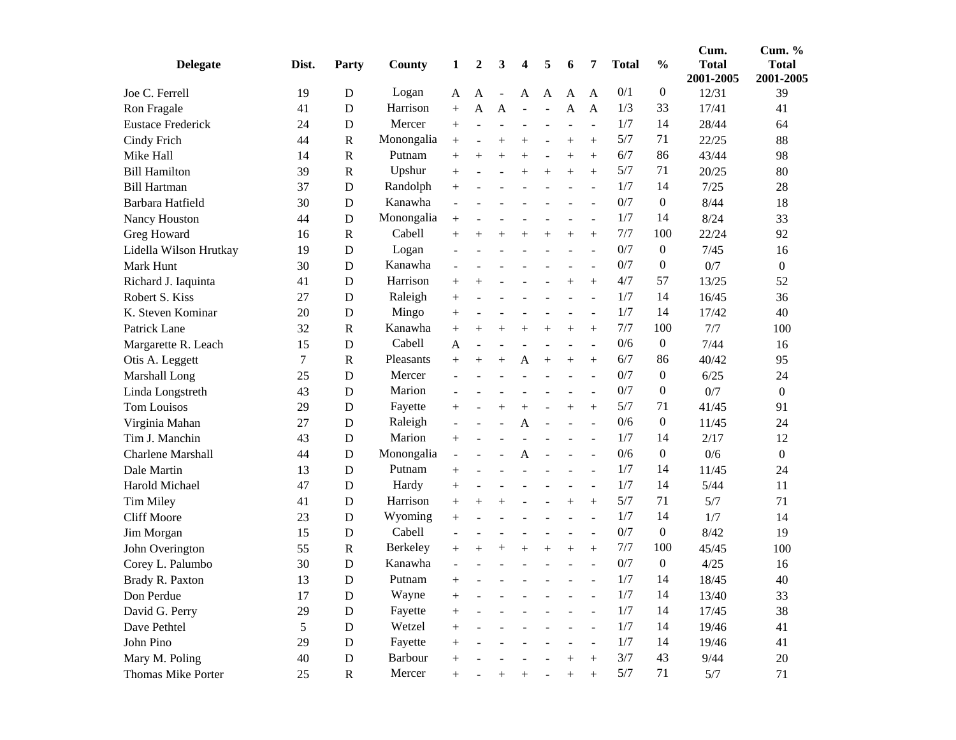| <b>Delegate</b>          | Dist. | Party        | <b>County</b> | 1                        | 2      | 3      | 4                        | 5              | 6              | 7              | <b>Total</b> | $\frac{0}{0}$    | Cum.<br><b>Total</b><br>2001-2005 | Cum. %<br><b>Total</b><br>2001-2005 |
|--------------------------|-------|--------------|---------------|--------------------------|--------|--------|--------------------------|----------------|----------------|----------------|--------------|------------------|-----------------------------------|-------------------------------------|
| Joe C. Ferrell           | 19    | D            | Logan         | A                        | A      |        | A                        | A              | A              | A              | 0/1          | $\boldsymbol{0}$ | 12/31                             | 39                                  |
| Ron Fragale              | 41    | D            | Harrison      | $+$                      | A      | A      |                          | $\overline{a}$ | A              | $\mathbf{A}$   | 1/3          | 33               | 17/41                             | 41                                  |
| <b>Eustace Frederick</b> | 24    | D            | Mercer        | $+$                      |        |        | $\overline{\phantom{a}}$ | $\sim$         | $\overline{a}$ | $\overline{a}$ | 1/7          | 14               | 28/44                             | 64                                  |
| Cindy Frich              | 44    | $\mathbf R$  | Monongalia    | $\! + \!$                |        | $^{+}$ | $^{+}$                   |                | $^{+}$         | $+$            | 5/7          | 71               | 22/25                             | 88                                  |
| Mike Hall                | 14    | $\mathbf R$  | Putnam        | $^{+}$                   | $^{+}$ | $^{+}$ | $^{+}$                   |                | $^{+}$         | $^{+}$         | 6/7          | 86               | 43/44                             | 98                                  |
| <b>Bill Hamilton</b>     | 39    | $\mathbf R$  | Upshur        | $^{+}$                   |        |        | $^{+}$                   | $^{+}$         | $^{+}$         | $+$            | 5/7          | 71               | 20/25                             | 80                                  |
| <b>Bill Hartman</b>      | 37    | D            | Randolph      | $^{+}$                   |        |        |                          |                |                | $\blacksquare$ | 1/7          | 14               | 7/25                              | 28                                  |
| Barbara Hatfield         | 30    | D            | Kanawha       | $\overline{\phantom{a}}$ |        |        |                          |                |                |                | 0/7          | $\mathbf{0}$     | 8/44                              | 18                                  |
| Nancy Houston            | 44    | D            | Monongalia    | $^{+}$                   |        |        |                          |                |                | $\overline{a}$ | 1/7          | 14               | 8/24                              | 33                                  |
| Greg Howard              | 16    | $\mathbf R$  | Cabell        | $^{+}$                   | $^{+}$ | $^{+}$ | $^{+}$                   | $^{+}$         | $^{+}$         |                | 7/7          | 100              | 22/24                             | 92                                  |
| Lidella Wilson Hrutkay   | 19    | D            | Logan         | $\sim$                   |        |        |                          |                |                | $\blacksquare$ | 0/7          | $\boldsymbol{0}$ | 7/45                              | 16                                  |
| Mark Hunt                | 30    | D            | Kanawha       | $\overline{\phantom{a}}$ |        |        |                          |                |                |                | 0/7          | $\boldsymbol{0}$ | 0/7                               | $\boldsymbol{0}$                    |
| Richard J. Iaquinta      | 41    | $\mathbf D$  | Harrison      | $^{+}$                   | $^+$   |        |                          |                | $^{+}$         | $+$            | 4/7          | 57               | 13/25                             | 52                                  |
| Robert S. Kiss           | 27    | D            | Raleigh       | $+$                      |        |        |                          |                |                | $\overline{a}$ | 1/7          | 14               | 16/45                             | 36                                  |
| K. Steven Kominar        | 20    | D            | Mingo         | $^{+}$                   |        |        |                          |                |                |                | 1/7          | 14               | 17/42                             | 40                                  |
| Patrick Lane             | 32    | $\mathbb{R}$ | Kanawha       | $\! + \!$                | $^{+}$ | $^{+}$ | $^{+}$                   | $^{+}$         | $+$            | $+$            | 7/7          | 100              | 7/7                               | 100                                 |
| Margarette R. Leach      | 15    | D            | Cabell        | A                        |        |        |                          |                |                | $\blacksquare$ | 0/6          | $\boldsymbol{0}$ | 7/44                              | 16                                  |
| Otis A. Leggett          | 7     | $\mathbf R$  | Pleasants     | $+$                      | $^{+}$ | $^{+}$ | A                        | $^{+}$         | $^{+}$         | $+$            | 6/7          | 86               | 40/42                             | 95                                  |
| Marshall Long            | 25    | D            | Mercer        |                          |        |        |                          |                |                |                | 0/7          | $\mathbf{0}$     | 6/25                              | 24                                  |
| Linda Longstreth         | 43    | D            | Marion        | ÷.                       |        |        |                          |                |                |                | 0/7          | $\mathbf{0}$     | 0/7                               | $\boldsymbol{0}$                    |
| <b>Tom Louisos</b>       | 29    | D            | Fayette       | $^{+}$                   |        | $^{+}$ | $^{+}$                   |                | $^{+}$         | $+$            | 5/7          | 71               | 41/45                             | 91                                  |
| Virginia Mahan           | 27    | D            | Raleigh       | $\blacksquare$           |        |        | A                        |                |                | $\overline{a}$ | 0/6          | $\boldsymbol{0}$ | 11/45                             | 24                                  |
| Tim J. Manchin           | 43    | D            | Marion        | $^{+}$                   |        |        |                          |                |                | $\blacksquare$ | 1/7          | 14               | 2/17                              | 12                                  |
| <b>Charlene Marshall</b> | 44    | D            | Monongalia    | $\blacksquare$           |        |        | A                        |                |                |                | 0/6          | $\mathbf{0}$     | 0/6                               | $\boldsymbol{0}$                    |
| Dale Martin              | 13    | $\mathbf D$  | Putnam        | $^{+}$                   |        |        |                          |                |                |                | 1/7          | 14               | 11/45                             | 24                                  |
| Harold Michael           | 47    | D            | Hardy         | $^{+}$                   |        |        |                          |                |                | $\overline{a}$ | 1/7          | 14               | 5/44                              | 11                                  |
| Tim Miley                | 41    | D            | Harrison      | $^{+}$                   | $^{+}$ | $^{+}$ |                          |                | $^{+}$         | $+$            | 5/7          | 71               | 5/7                               | 71                                  |
| <b>Cliff Moore</b>       | 23    | D            | Wyoming       | $^{+}$                   |        |        |                          |                |                | $\overline{a}$ | 1/7          | 14               | 1/7                               | 14                                  |
| Jim Morgan               | 15    | D            | Cabell        | $\overline{\phantom{a}}$ |        |        |                          |                |                | $\blacksquare$ | 0/7          | $\boldsymbol{0}$ | 8/42                              | 19                                  |
| John Overington          | 55    | $\mathbf R$  | Berkeley      | $^{+}$                   | $^{+}$ | $^+$   | $^{+}$                   | $+$            | $^{+}$         | $+$            | 7/7          | 100              | 45/45                             | 100                                 |
| Corey L. Palumbo         | 30    | $\mathbf D$  | Kanawha       |                          |        |        |                          |                |                |                | 0/7          | $\boldsymbol{0}$ | 4/25                              | 16                                  |
| Brady R. Paxton          | 13    | D            | Putnam        | $^{+}$                   |        |        |                          |                |                |                | 1/7          | 14               | 18/45                             | 40                                  |
| Don Perdue               | 17    | ${\bf D}$    | Wayne         | $^{+}$                   |        |        |                          |                |                |                | 1/7          | 14               | 13/40                             | 33                                  |
| David G. Perry           | 29    | ${\bf D}$    | Fayette       | $^{+}$                   |        |        |                          |                |                |                | 1/7          | 14               | 17/45                             | 38                                  |
| Dave Pethtel             | 5     | $\mathbf D$  | Wetzel        | $^{+}$                   |        |        |                          |                |                |                | 1/7          | 14               | 19/46                             | 41                                  |
| John Pino                | 29    | $\mathbf D$  | Fayette       | $^{+}$                   |        |        |                          |                |                |                | 1/7          | 14               | 19/46                             | 41                                  |
| Mary M. Poling           | 40    | ${\bf D}$    | Barbour       | $^{+}$                   |        |        |                          |                | $^{+}$         | $+$            | 3/7          | 43               | 9/44                              | $20\,$                              |
| Thomas Mike Porter       | 25    | $\mathbf R$  | Mercer        | $+$                      |        | $^{+}$ | $^{+}$                   |                | $^{+}$         | $^{+}$         | 5/7          | 71               | 5/7                               | 71                                  |